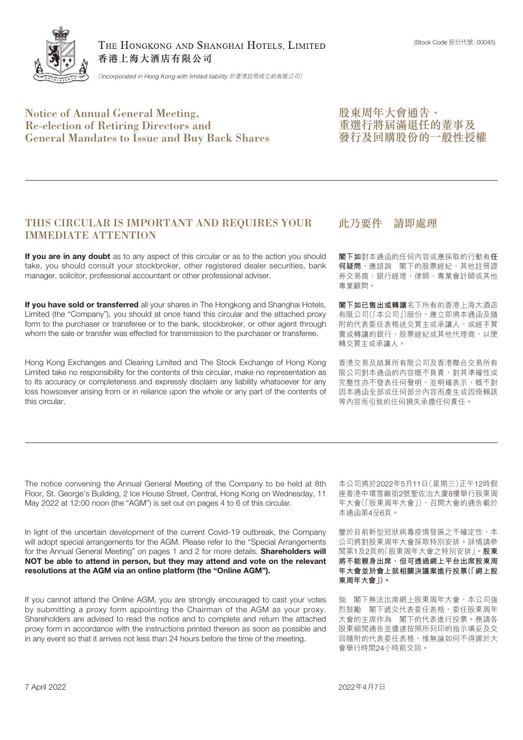

THE HONGKONG AND SHANGHAI HOTELS, LIMITED 香港上海大酒店有限公司

(*Incorporated in Hong Kong with limited liability* 於香港註冊成立的有限公司)

## Notice of Annual General Meeting, Re-election of Retiring Directors and General Mandates to Issue and Buy Back Shares

股東周年大會通告、 重選行將屆滿退任的董事及 發行及回購股份的一般性授權

### THIS CIRCULAR IS IMPORTANT AND REQUIRES YOUR IMMEDIATE ATTENTION

**If you are in any doubt** as to any aspect of this circular or as to the action you should take, you should consult your stockbroker, other registered dealer securities, bank manager, solicitor, professional accountant or other professional adviser.

**If you have sold or transferred** all your shares in The Hongkong and Shanghai Hotels, Limited (the "Company"), you should at once hand this circular and the attached proxy form to the purchaser or transferee or to the bank, stockbroker, or other agent through whom the sale or transfer was effected for transmission to the purchaser or transferee.

Hong Kong Exchanges and Clearing Limited and The Stock Exchange of Hong Kong Limited take no responsibility for the contents of this circular, make no representation as to its accuracy or completeness and expressly disclaim any liability whatsoever for any loss howsoever arising from or in reliance upon the whole or any part of the contents of this circular.

### 此乃要件 請即處理

**閣下如**對本通函的任何內容或應採取的行動有**任 何疑問**,應諮詢 閣下的股票經紀、其他註冊證 券交易商、銀行經理、律師、專業會計師或其他 專業顧問。

**閣下如已售出或轉讓**名下所有的香港上海大酒店 有限公司(「本公司」)股份,應立即將本通函及隨 附的代表委任表格送交買主或承讓人,或經手買 賣或轉讓的銀行、股票經紀或其他代理商,以便 轉交買主或承讓人。

香港交易及結算所有限公司及香港聯合交易所有 限公司對本通函的內容概不負責,對其準確性或 完整性亦不發表任何聲明,並明確表示,概不對 因本通函全部或任何部分內容而產生或因倚賴該 等內容而引致的任何損失承擔任何責任。

The notice convening the Annual General Meeting of the Company to be held at 8th Floor, St. George's Building, 2 Ice House Street, Central, Hong Kong on Wednesday, 11 May 2022 at 12:00 noon (the "AGM") is set out on pages 4 to 6 of this circular.

In light of the uncertain development of the current Covid-19 outbreak, the Company will adopt special arrangements for the AGM. Please refer to the "Special Arrangements for the Annual General Meeting" on pages 1 and 2 for more details. **Shareholders will NOT be able to attend in person, but they may attend and vote on the relevant resolutions at the AGM via an online platform (the "Online AGM").**

If you cannot attend the Online AGM, you are strongly encouraged to cast your votes by submitting a proxy form appointing the Chairman of the AGM as your proxy. Shareholders are advised to read the notice and to complete and return the attached proxy form in accordance with the instructions printed thereon as soon as possible and in any event so that it arrives not less than 24 hours before the time of the meeting.

本公司將於2022年5月11日(星期三)正午12時假 座香港中環雪廠街2號聖佐治大廈8樓舉行股東周 年大會(「股東周年大會」),召開大會的通告載於 本通函第4至6頁。

鑒於目前新型冠狀病毒疫情發展之不確定性,本 公司將對股東周年大會採取特別安排。詳情請參 閱第1及2頁的「股東周年大會之特別安排」。**股東 將不能親身出席,但可透過網上平台出席股東周 年大會並於會上就相關決議案進行投票(「網上股 東周年大會」)。**

倘 閣下無法出席網上股東周年大會,本公司強 烈鼓勵 閣下遞交代表委任表格,委任股東周年 大會的主席作為 閣下的代表進行投票。務請各 股東細閱通告並儘速按照所列印的指示填妥及交 回隨附的代表委任表格,惟無論如何不得遲於大 會舉行時間24小時前交回。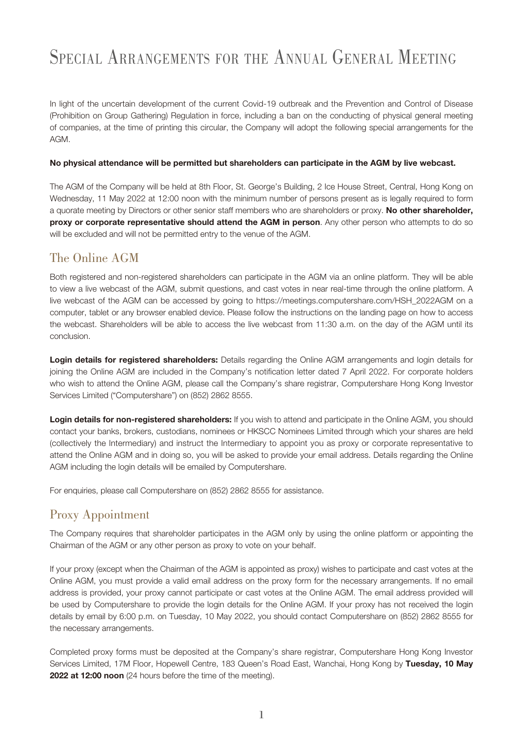# SPECIAL ARRANGEMENTS FOR THE ANNUAL GENERAL MEETING

In light of the uncertain development of the current Covid-19 outbreak and the Prevention and Control of Disease (Prohibition on Group Gathering) Regulation in force, including a ban on the conducting of physical general meeting of companies, at the time of printing this circular, the Company will adopt the following special arrangements for the AGM.

#### **No physical attendance will be permitted but shareholders can participate in the AGM by live webcast.**

The AGM of the Company will be held at 8th Floor, St. George's Building, 2 Ice House Street, Central, Hong Kong on Wednesday, 11 May 2022 at 12:00 noon with the minimum number of persons present as is legally required to form a quorate meeting by Directors or other senior staff members who are shareholders or proxy. **No other shareholder, proxy or corporate representative should attend the AGM in person**. Any other person who attempts to do so will be excluded and will not be permitted entry to the venue of the AGM.

## The Online AGM

Both registered and non-registered shareholders can participate in the AGM via an online platform. They will be able to view a live webcast of the AGM, submit questions, and cast votes in near real-time through the online platform. A live webcast of the AGM can be accessed by going to https://meetings.computershare.com/HSH\_2022AGM on a computer, tablet or any browser enabled device. Please follow the instructions on the landing page on how to access the webcast. Shareholders will be able to access the live webcast from 11:30 a.m. on the day of the AGM until its conclusion.

**Login details for registered shareholders:** Details regarding the Online AGM arrangements and login details for joining the Online AGM are included in the Company's notification letter dated 7 April 2022. For corporate holders who wish to attend the Online AGM, please call the Company's share registrar, Computershare Hong Kong Investor Services Limited ("Computershare") on (852) 2862 8555.

**Login details for non-registered shareholders:** If you wish to attend and participate in the Online AGM, you should contact your banks, brokers, custodians, nominees or HKSCC Nominees Limited through which your shares are held (collectively the Intermediary) and instruct the Intermediary to appoint you as proxy or corporate representative to attend the Online AGM and in doing so, you will be asked to provide your email address. Details regarding the Online AGM including the login details will be emailed by Computershare.

For enquiries, please call Computershare on (852) 2862 8555 for assistance.

## Proxy Appointment

The Company requires that shareholder participates in the AGM only by using the online platform or appointing the Chairman of the AGM or any other person as proxy to vote on your behalf.

If your proxy (except when the Chairman of the AGM is appointed as proxy) wishes to participate and cast votes at the Online AGM, you must provide a valid email address on the proxy form for the necessary arrangements. If no email address is provided, your proxy cannot participate or cast votes at the Online AGM. The email address provided will be used by Computershare to provide the login details for the Online AGM. If your proxy has not received the login details by email by 6:00 p.m. on Tuesday, 10 May 2022, you should contact Computershare on (852) 2862 8555 for the necessary arrangements.

Completed proxy forms must be deposited at the Company's share registrar, Computershare Hong Kong Investor Services Limited, 17M Floor, Hopewell Centre, 183 Queen's Road East, Wanchai, Hong Kong by **Tuesday, 10 May 2022 at 12:00 noon** (24 hours before the time of the meeting).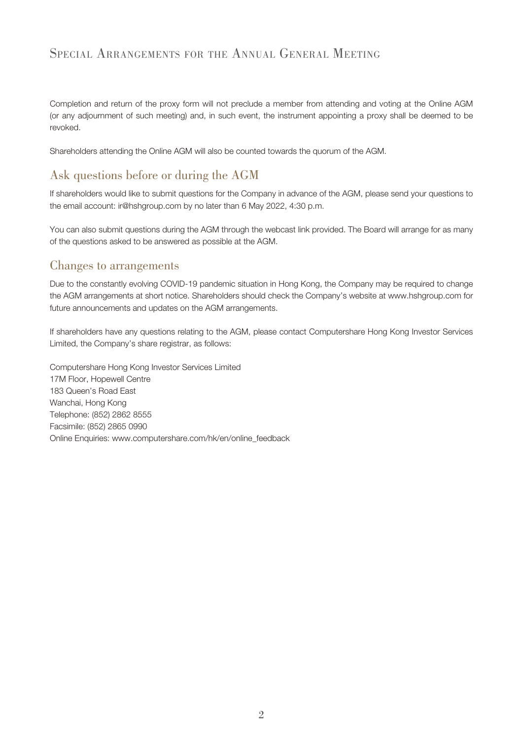## SPECIAL ARRANGEMENTS FOR THE ANNUAL GENERAL MEETING

Completion and return of the proxy form will not preclude a member from attending and voting at the Online AGM (or any adjournment of such meeting) and, in such event, the instrument appointing a proxy shall be deemed to be revoked.

Shareholders attending the Online AGM will also be counted towards the quorum of the AGM.

## Ask questions before or during the AGM

If shareholders would like to submit questions for the Company in advance of the AGM, please send your questions to the email account: ir@hshgroup.com by no later than 6 May 2022, 4:30 p.m.

You can also submit questions during the AGM through the webcast link provided. The Board will arrange for as many of the questions asked to be answered as possible at the AGM.

## Changes to arrangements

Due to the constantly evolving COVID-19 pandemic situation in Hong Kong, the Company may be required to change the AGM arrangements at short notice. Shareholders should check the Company's website at www.hshgroup.com for future announcements and updates on the AGM arrangements.

If shareholders have any questions relating to the AGM, please contact Computershare Hong Kong Investor Services Limited, the Company's share registrar, as follows:

Computershare Hong Kong Investor Services Limited 17M Floor, Hopewell Centre 183 Queen's Road East Wanchai, Hong Kong Telephone: (852) 2862 8555 Facsimile: (852) 2865 0990 Online Enquiries: www.computershare.com/hk/en/online\_feedback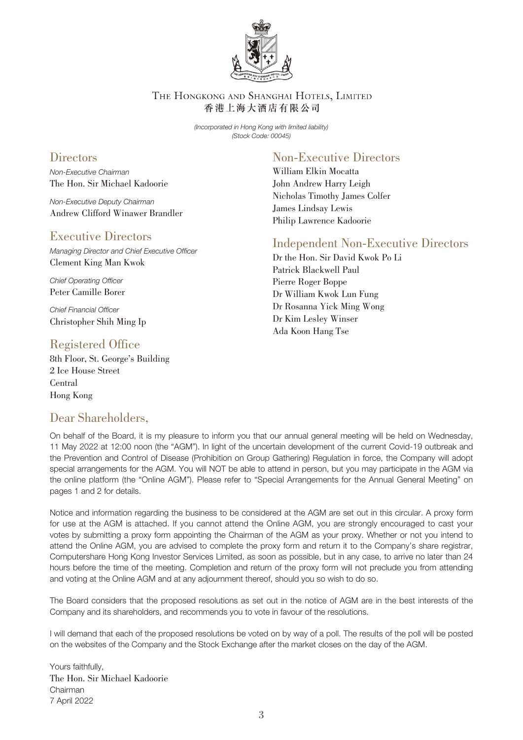

THE HONGKONG AND SHANGHAI HOTELS, LIMITED 香港上海大酒店有限公司

> (Incorporated in Hong Kong with limited liability) (Stock Code: 00045)

## **Directors**

Non-Executive Chairman The Hon. Sir Michael Kadoorie

Non-Executive Deputy Chairman Andrew Clifford Winawer Brandler

## Executive Directors

Managing Director and Chief Executive Officer Clement King Man Kwok

Chief Operating Officer Peter Camille Borer

Chief Financial Officer Christopher Shih Ming Ip

## Registered Office

8th Floor, St. George's Building 2 Ice House Street Central Hong Kong

## Dear Shareholders,

# Non-Executive Directors

William Elkin Mocatta John Andrew Harry Leigh Nicholas Timothy James Colfer James Lindsay Lewis Philip Lawrence Kadoorie

## Independent Non-Executive Directors

Dr the Hon. Sir David Kwok Po Li Patrick Blackwell Paul Pierre Roger Boppe Dr William Kwok Lun Fung Dr Rosanna Yick Ming Wong Dr Kim Lesley Winser Ada Koon Hang Tse

On behalf of the Board, it is my pleasure to inform you that our annual general meeting will be held on Wednesday, 11 May 2022 at 12:00 noon (the "AGM"). In light of the uncertain development of the current Covid-19 outbreak and the Prevention and Control of Disease (Prohibition on Group Gathering) Regulation in force, the Company will adopt special arrangements for the AGM. You will NOT be able to attend in person, but you may participate in the AGM via the online platform (the "Online AGM"). Please refer to "Special Arrangements for the Annual General Meeting" on pages 1 and 2 for details.

Notice and information regarding the business to be considered at the AGM are set out in this circular. A proxy form for use at the AGM is attached. If you cannot attend the Online AGM, you are strongly encouraged to cast your votes by submitting a proxy form appointing the Chairman of the AGM as your proxy. Whether or not you intend to attend the Online AGM, you are advised to complete the proxy form and return it to the Company's share registrar, Computershare Hong Kong Investor Services Limited, as soon as possible, but in any case, to arrive no later than 24 hours before the time of the meeting. Completion and return of the proxy form will not preclude you from attending and voting at the Online AGM and at any adjournment thereof, should you so wish to do so.

The Board considers that the proposed resolutions as set out in the notice of AGM are in the best interests of the Company and its shareholders, and recommends you to vote in favour of the resolutions.

I will demand that each of the proposed resolutions be voted on by way of a poll. The results of the poll will be posted on the websites of the Company and the Stock Exchange after the market closes on the day of the AGM.

Yours faithfully, The Hon. Sir Michael Kadoorie Chairman 7 April 2022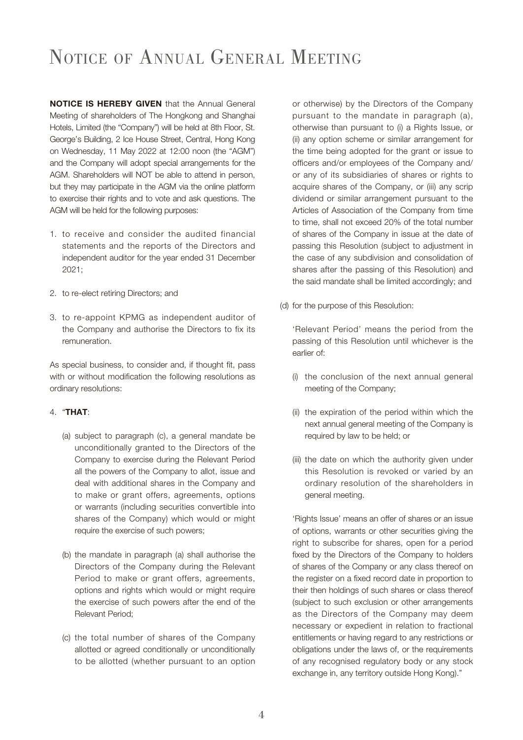# NOTICE OF ANNUAL GENERAL MEETING

**NOTICE IS HEREBY GIVEN** that the Annual General Meeting of shareholders of The Hongkong and Shanghai Hotels, Limited (the "Company") will be held at 8th Floor, St. George's Building, 2 Ice House Street, Central, Hong Kong on Wednesday, 11 May 2022 at 12:00 noon (the "AGM") and the Company will adopt special arrangements for the AGM. Shareholders will NOT be able to attend in person, but they may participate in the AGM via the online platform to exercise their rights and to vote and ask questions. The AGM will be held for the following purposes:

- 1. to receive and consider the audited financial statements and the reports of the Directors and independent auditor for the year ended 31 December 2021;
- 2. to re-elect retiring Directors; and
- 3. to re-appoint KPMG as independent auditor of the Company and authorise the Directors to fix its remuneration.

As special business, to consider and, if thought fit, pass with or without modification the following resolutions as ordinary resolutions:

#### 4. "**THAT**:

- (a) subject to paragraph (c), a general mandate be unconditionally granted to the Directors of the Company to exercise during the Relevant Period all the powers of the Company to allot, issue and deal with additional shares in the Company and to make or grant offers, agreements, options or warrants (including securities convertible into shares of the Company) which would or might require the exercise of such powers;
- (b) the mandate in paragraph (a) shall authorise the Directors of the Company during the Relevant Period to make or grant offers, agreements, options and rights which would or might require the exercise of such powers after the end of the Relevant Period;
- (c) the total number of shares of the Company allotted or agreed conditionally or unconditionally to be allotted (whether pursuant to an option

or otherwise) by the Directors of the Company pursuant to the mandate in paragraph (a), otherwise than pursuant to (i) a Rights Issue, or (ii) any option scheme or similar arrangement for the time being adopted for the grant or issue to officers and/or employees of the Company and/ or any of its subsidiaries of shares or rights to acquire shares of the Company, or (iii) any scrip dividend or similar arrangement pursuant to the Articles of Association of the Company from time to time, shall not exceed 20% of the total number of shares of the Company in issue at the date of passing this Resolution (subject to adjustment in the case of any subdivision and consolidation of shares after the passing of this Resolution) and the said mandate shall be limited accordingly; and

(d) for the purpose of this Resolution:

'Relevant Period' means the period from the passing of this Resolution until whichever is the earlier of:

- (i) the conclusion of the next annual general meeting of the Company;
- (ii) the expiration of the period within which the next annual general meeting of the Company is required by law to be held; or
- (iii) the date on which the authority given under this Resolution is revoked or varied by an ordinary resolution of the shareholders in general meeting.

'Rights Issue' means an offer of shares or an issue of options, warrants or other securities giving the right to subscribe for shares, open for a period fixed by the Directors of the Company to holders of shares of the Company or any class thereof on the register on a fixed record date in proportion to their then holdings of such shares or class thereof (subject to such exclusion or other arrangements as the Directors of the Company may deem necessary or expedient in relation to fractional entitlements or having regard to any restrictions or obligations under the laws of, or the requirements of any recognised regulatory body or any stock exchange in, any territory outside Hong Kong)."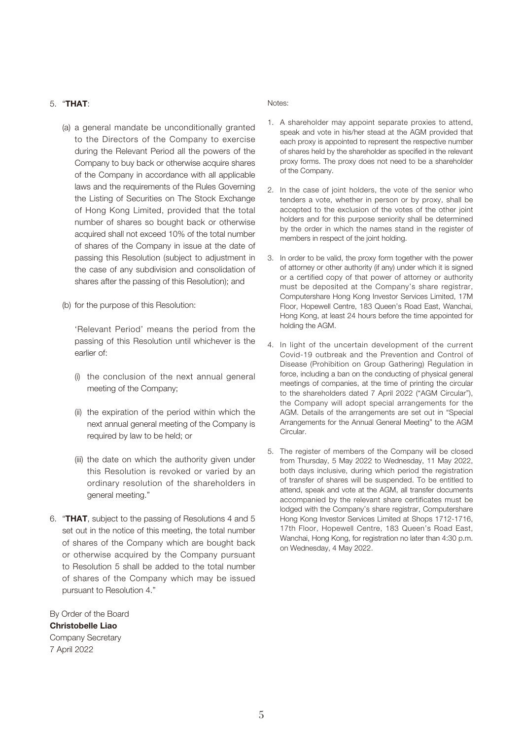#### 5. "**THAT**:

- (a) a general mandate be unconditionally granted to the Directors of the Company to exercise during the Relevant Period all the powers of the Company to buy back or otherwise acquire shares of the Company in accordance with all applicable laws and the requirements of the Rules Governing the Listing of Securities on The Stock Exchange of Hong Kong Limited, provided that the total number of shares so bought back or otherwise acquired shall not exceed 10% of the total number of shares of the Company in issue at the date of passing this Resolution (subject to adjustment in the case of any subdivision and consolidation of shares after the passing of this Resolution); and
- (b) for the purpose of this Resolution:

'Relevant Period' means the period from the passing of this Resolution until whichever is the earlier of:

- (i) the conclusion of the next annual general meeting of the Company;
- (ii) the expiration of the period within which the next annual general meeting of the Company is required by law to be held; or
- (iii) the date on which the authority given under this Resolution is revoked or varied by an ordinary resolution of the shareholders in general meeting."
- 6. "**THAT**, subject to the passing of Resolutions 4 and 5 set out in the notice of this meeting, the total number of shares of the Company which are bought back or otherwise acquired by the Company pursuant to Resolution 5 shall be added to the total number of shares of the Company which may be issued pursuant to Resolution 4."

By Order of the Board **Christobelle Liao** Company Secretary 7 April 2022

#### Notes:

- 1. A shareholder may appoint separate proxies to attend, speak and vote in his/her stead at the AGM provided that each proxy is appointed to represent the respective number of shares held by the shareholder as specified in the relevant proxy forms. The proxy does not need to be a shareholder of the Company.
- 2. In the case of joint holders, the vote of the senior who tenders a vote, whether in person or by proxy, shall be accepted to the exclusion of the votes of the other joint holders and for this purpose seniority shall be determined by the order in which the names stand in the register of members in respect of the joint holding.
- 3. In order to be valid, the proxy form together with the power of attorney or other authority (if any) under which it is signed or a certified copy of that power of attorney or authority must be deposited at the Company's share registrar, Computershare Hong Kong Investor Services Limited, 17M Floor, Hopewell Centre, 183 Queen's Road East, Wanchai, Hong Kong, at least 24 hours before the time appointed for holding the AGM.
- 4. In light of the uncertain development of the current Covid-19 outbreak and the Prevention and Control of Disease (Prohibition on Group Gathering) Regulation in force, including a ban on the conducting of physical general meetings of companies, at the time of printing the circular to the shareholders dated 7 April 2022 ("AGM Circular"), the Company will adopt special arrangements for the AGM. Details of the arrangements are set out in "Special Arrangements for the Annual General Meeting" to the AGM Circular.
- 5. The register of members of the Company will be closed from Thursday, 5 May 2022 to Wednesday, 11 May 2022, both days inclusive, during which period the registration of transfer of shares will be suspended. To be entitled to attend, speak and vote at the AGM, all transfer documents accompanied by the relevant share certificates must be lodged with the Company's share registrar, Computershare Hong Kong Investor Services Limited at Shops 1712-1716, 17th Floor, Hopewell Centre, 183 Queen's Road East, Wanchai, Hong Kong, for registration no later than 4:30 p.m. on Wednesday, 4 May 2022.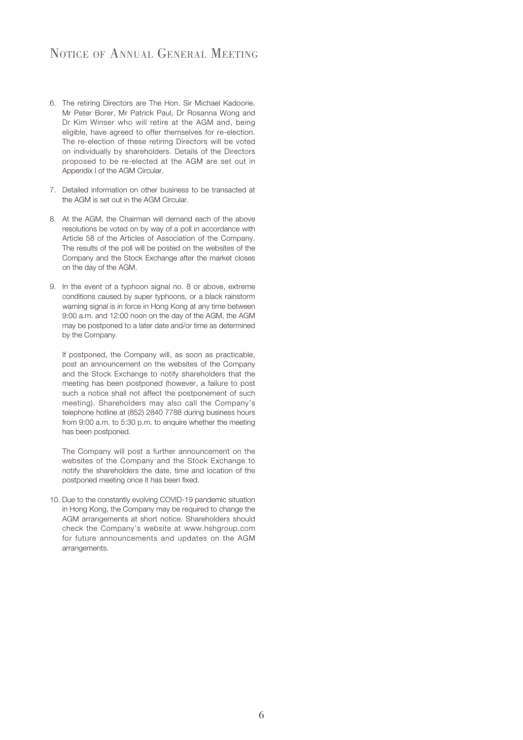## NOTICE OF ANNUAL GENERAL MEETING

- 6. The retiring Directors are The Hon. Sir Michael Kadoorie, Mr Peter Borer, Mr Patrick Paul, Dr Rosanna Wong and Dr Kim Winser who will retire at the AGM and, being eligible, have agreed to offer themselves for re-election. The re-election of these retiring Directors will be voted on individually by shareholders. Details of the Directors proposed to be re-elected at the AGM are set out in Appendix I of the AGM Circular.
- 7. Detailed information on other business to be transacted at the AGM is set out in the AGM Circular.
- 8. At the AGM, the Chairman will demand each of the above resolutions be voted on by way of a poll in accordance with Article 58 of the Articles of Association of the Company. The results of the poll will be posted on the websites of the Company and the Stock Exchange after the market closes on the day of the AGM.
- 9. In the event of a typhoon signal no. 8 or above, extreme conditions caused by super typhoons, or a black rainstorm warning signal is in force in Hong Kong at any time between 9:00 a.m. and 12:00 noon on the day of the AGM, the AGM may be postponed to a later date and/or time as determined by the Company.

If postponed, the Company will, as soon as practicable, post an announcement on the websites of the Company and the Stock Exchange to notify shareholders that the meeting has been postponed (however, a failure to post such a notice shall not affect the postponement of such meeting). Shareholders may also call the Company's telephone hotline at (852) 2840 7788 during business hours from 9:00 a.m. to 5:30 p.m. to enquire whether the meeting has been postponed.

The Company will post a further announcement on the websites of the Company and the Stock Exchange to notify the shareholders the date, time and location of the postponed meeting once it has been fixed.

10. Due to the constantly evolving COVID-19 pandemic situation in Hong Kong, the Company may be required to change the AGM arrangements at short notice. Shareholders should check the Company's website at www.hshgroup.com for future announcements and updates on the AGM arrangements.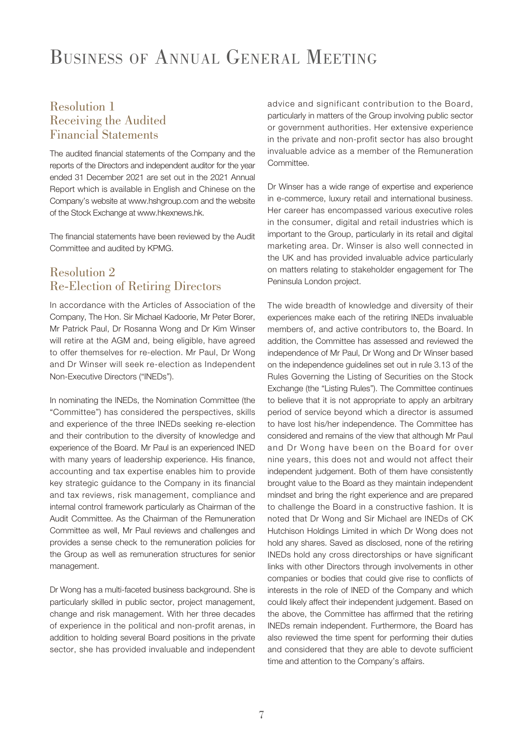# BUSINESS OF ANNUAL GENERAL MEETING

## Resolution 1 Receiving the Audited Financial Statements

The audited financial statements of the Company and the reports of the Directors and independent auditor for the year ended 31 December 2021 are set out in the 2021 Annual Report which is available in English and Chinese on the Company's website at www.hshgroup.com and the website of the Stock Exchange at www.hkexnews.hk.

The financial statements have been reviewed by the Audit Committee and audited by KPMG.

## Resolution 2 Re-Election of Retiring Directors

In accordance with the Articles of Association of the Company, The Hon. Sir Michael Kadoorie, Mr Peter Borer, Mr Patrick Paul, Dr Rosanna Wong and Dr Kim Winser will retire at the AGM and, being eligible, have agreed to offer themselves for re-election. Mr Paul, Dr Wong and Dr Winser will seek re-election as Independent Non-Executive Directors ("INEDs").

In nominating the INEDs, the Nomination Committee (the "Committee") has considered the perspectives, skills and experience of the three INEDs seeking re-election and their contribution to the diversity of knowledge and experience of the Board. Mr Paul is an experienced INED with many years of leadership experience. His finance, accounting and tax expertise enables him to provide key strategic guidance to the Company in its financial and tax reviews, risk management, compliance and internal control framework particularly as Chairman of the Audit Committee. As the Chairman of the Remuneration Committee as well, Mr Paul reviews and challenges and provides a sense check to the remuneration policies for the Group as well as remuneration structures for senior management.

Dr Wong has a multi-faceted business background. She is particularly skilled in public sector, project management, change and risk management. With her three decades of experience in the political and non-profit arenas, in addition to holding several Board positions in the private sector, she has provided invaluable and independent

advice and significant contribution to the Board, particularly in matters of the Group involving public sector or government authorities. Her extensive experience in the private and non-profit sector has also brought invaluable advice as a member of the Remuneration **Committee** 

Dr Winser has a wide range of expertise and experience in e-commerce, luxury retail and international business. Her career has encompassed various executive roles in the consumer, digital and retail industries which is important to the Group, particularly in its retail and digital marketing area. Dr. Winser is also well connected in the UK and has provided invaluable advice particularly on matters relating to stakeholder engagement for The Peninsula London project.

The wide breadth of knowledge and diversity of their experiences make each of the retiring INEDs invaluable members of, and active contributors to, the Board. In addition, the Committee has assessed and reviewed the independence of Mr Paul, Dr Wong and Dr Winser based on the independence guidelines set out in rule 3.13 of the Rules Governing the Listing of Securities on the Stock Exchange (the "Listing Rules"). The Committee continues to believe that it is not appropriate to apply an arbitrary period of service beyond which a director is assumed to have lost his/her independence. The Committee has considered and remains of the view that although Mr Paul and Dr Wong have been on the Board for over nine years, this does not and would not affect their independent judgement. Both of them have consistently brought value to the Board as they maintain independent mindset and bring the right experience and are prepared to challenge the Board in a constructive fashion. It is noted that Dr Wong and Sir Michael are INEDs of CK Hutchison Holdings Limited in which Dr Wong does not hold any shares. Saved as disclosed, none of the retiring INEDs hold any cross directorships or have significant links with other Directors through involvements in other companies or bodies that could give rise to conflicts of interests in the role of INED of the Company and which could likely affect their independent judgement. Based on the above, the Committee has affirmed that the retiring INEDs remain independent. Furthermore, the Board has also reviewed the time spent for performing their duties and considered that they are able to devote sufficient time and attention to the Company's affairs.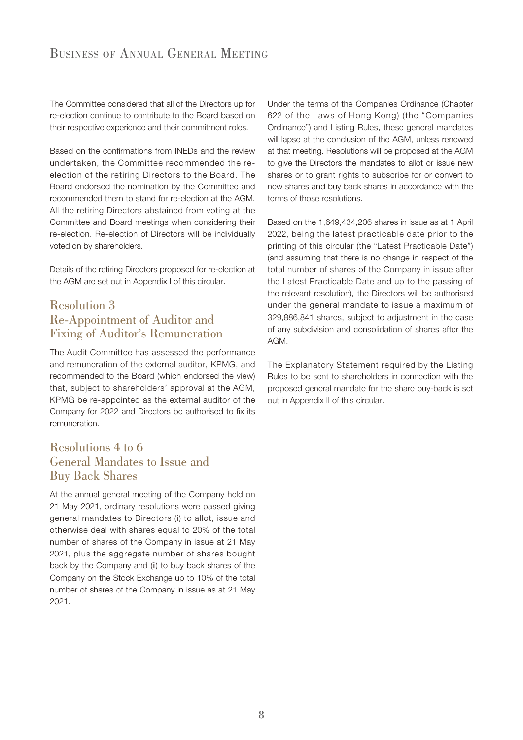The Committee considered that all of the Directors up for re-election continue to contribute to the Board based on their respective experience and their commitment roles.

Based on the confirmations from INEDs and the review undertaken, the Committee recommended the reelection of the retiring Directors to the Board. The Board endorsed the nomination by the Committee and recommended them to stand for re-election at the AGM. All the retiring Directors abstained from voting at the Committee and Board meetings when considering their re-election. Re-election of Directors will be individually voted on by shareholders.

Details of the retiring Directors proposed for re-election at the AGM are set out in Appendix I of this circular.

## Resolution 3 Re-Appointment of Auditor and Fixing of Auditor's Remuneration

The Audit Committee has assessed the performance and remuneration of the external auditor, KPMG, and recommended to the Board (which endorsed the view) that, subject to shareholders' approval at the AGM, KPMG be re-appointed as the external auditor of the Company for 2022 and Directors be authorised to fix its remuneration.

## Resolutions 4 to 6 General Mandates to Issue and Buy Back Shares

At the annual general meeting of the Company held on 21 May 2021, ordinary resolutions were passed giving general mandates to Directors (i) to allot, issue and otherwise deal with shares equal to 20% of the total number of shares of the Company in issue at 21 May 2021, plus the aggregate number of shares bought back by the Company and (ii) to buy back shares of the Company on the Stock Exchange up to 10% of the total number of shares of the Company in issue as at 21 May 2021.

Under the terms of the Companies Ordinance (Chapter 622 of the Laws of Hong Kong) (the "Companies Ordinance") and Listing Rules, these general mandates will lapse at the conclusion of the AGM, unless renewed at that meeting. Resolutions will be proposed at the AGM to give the Directors the mandates to allot or issue new shares or to grant rights to subscribe for or convert to new shares and buy back shares in accordance with the terms of those resolutions.

Based on the 1,649,434,206 shares in issue as at 1 April 2022, being the latest practicable date prior to the printing of this circular (the "Latest Practicable Date") (and assuming that there is no change in respect of the total number of shares of the Company in issue after the Latest Practicable Date and up to the passing of the relevant resolution), the Directors will be authorised under the general mandate to issue a maximum of 329,886,841 shares, subject to adjustment in the case of any subdivision and consolidation of shares after the AGM.

The Explanatory Statement required by the Listing Rules to be sent to shareholders in connection with the proposed general mandate for the share buy-back is set out in Appendix II of this circular.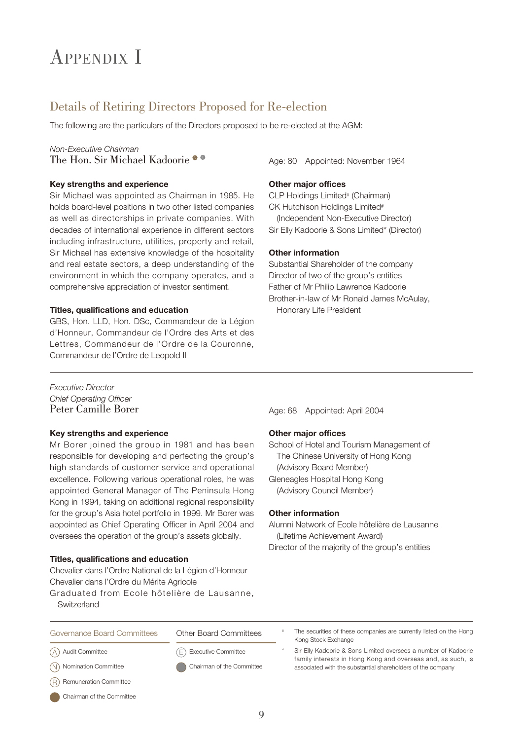# APPENDIX I

## Details of Retiring Directors Proposed for Re-election

The following are the particulars of the Directors proposed to be re-elected at the AGM:

### Non-Executive Chairman The Hon. Sir Michael Kadoorie  $\bullet$

#### **Key strengths and experience**

Sir Michael was appointed as Chairman in 1985. He holds board-level positions in two other listed companies as well as directorships in private companies. With decades of international experience in different sectors including infrastructure, utilities, property and retail, Sir Michael has extensive knowledge of the hospitality and real estate sectors, a deep understanding of the environment in which the company operates, and a comprehensive appreciation of investor sentiment.

#### **Titles, qualifications and education**

GBS, Hon. LLD, Hon. DSc, Commandeur de la Légion d'Honneur, Commandeur de l'Ordre des Arts et des Lettres, Commandeur de l'Ordre de la Couronne, Commandeur de l'Ordre de Leopold II

Age: 80 Appointed: November 1964

#### **Other major offices**

CLP Holdings Limited<sup>#</sup> (Chairman) CK Hutchison Holdings Limited<sup>#</sup> (Independent Non-Executive Director) Sir Elly Kadoorie & Sons Limited\* (Director)

#### **Other information**

Substantial Shareholder of the company Director of two of the group's entities Father of Mr Philip Lawrence Kadoorie Brother-in-law of Mr Ronald James McAulay, Honorary Life President

Executive Director Chief Operating Officer

#### **Key strengths and experience**

Mr Borer joined the group in 1981 and has been responsible for developing and perfecting the group's high standards of customer service and operational excellence. Following various operational roles, he was appointed General Manager of The Peninsula Hong Kong in 1994, taking on additional regional responsibility for the group's Asia hotel portfolio in 1999. Mr Borer was appointed as Chief Operating Officer in April 2004 and oversees the operation of the group's assets globally.

#### **Titles, qualifications and education**

Chevalier dans l'Ordre National de la Légion d'Honneur Chevalier dans l'Ordre du Mérite Agricole

Graduated from Ecole hôtelière de Lausanne,

**Switzerland** 

Peter Camille Borer Age: 68 Appointed: April 2004

#### **Other major offices**

School of Hotel and Tourism Management of The Chinese University of Hong Kong (Advisory Board Member) Gleneagles Hospital Hong Kong (Advisory Council Member)

#### **Other information**

Alumni Network of Ecole hôtelière de Lausanne (Lifetime Achievement Award) Director of the majority of the group's entities

Governance Board Committees Other Board Committees

A) Audit Committee (E

N) Nomination Committee

Remuneration Committee R

Chairman of the Committee

- Executive Committee
- Chairman of the Committee

The securities of these companies are currently listed on the Hong Kong Stock Exchange

Sir Elly Kadoorie & Sons Limited oversees a number of Kadoorie family interests in Hong Kong and overseas and, as such, is associated with the substantial shareholders of the company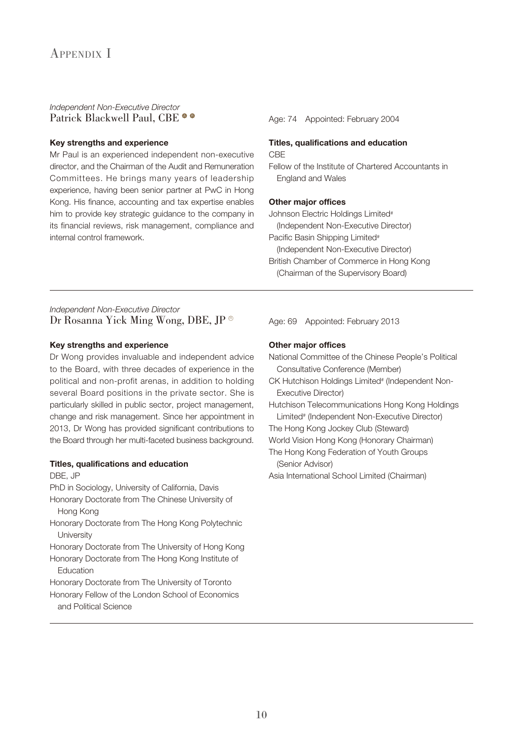#### Independent Non-Executive Director Patrick Blackwell Paul, CBE  $\bullet \bullet$

#### **Key strengths and experience**

Mr Paul is an experienced independent non-executive director, and the Chairman of the Audit and Remuneration Committees. He brings many years of leadership experience, having been senior partner at PwC in Hong Kong. His finance, accounting and tax expertise enables him to provide key strategic guidance to the company in its financial reviews, risk management, compliance and internal control framework.

#### Age: 74 Appointed: February 2004

#### **Titles, qualifications and education** CBE

Fellow of the Institute of Chartered Accountants in England and Wales

#### **Other major offices**

Johnson Electric Holdings Limited<sup>#</sup>

(Independent Non-Executive Director)

Pacific Basin Shipping Limited<sup>#</sup>

- (Independent Non-Executive Director) British Chamber of Commerce in Hong Kong
- (Chairman of the Supervisory Board)

### Independent Non-Executive Director Dr Rosanna Yick Ming Wong, DBE, JP ®

#### **Key strengths and experience**

Dr Wong provides invaluable and independent advice to the Board, with three decades of experience in the political and non-profit arenas, in addition to holding several Board positions in the private sector. She is particularly skilled in public sector, project management, change and risk management. Since her appointment in 2013, Dr Wong has provided significant contributions to the Board through her multi-faceted business background.

#### **Titles, qualifications and education**

#### DBE, JP

PhD in Sociology, University of California, Davis

Honorary Doctorate from The Chinese University of Hong Kong

Honorary Doctorate from The Hong Kong Polytechnic **University** 

Honorary Doctorate from The University of Hong Kong Honorary Doctorate from The Hong Kong Institute of

Education Honorary Doctorate from The University of Toronto

Honorary Fellow of the London School of Economics and Political Science

Age: 69 Appointed: February 2013

#### **Other major offices**

- National Committee of the Chinese People's Political Consultative Conference (Member)
- CK Hutchison Holdings Limited<sup>#</sup> (Independent Non-Executive Director)
- Hutchison Telecommunications Hong Kong Holdings Limited<sup>#</sup> (Independent Non-Executive Director)
- The Hong Kong Jockey Club (Steward)
- World Vision Hong Kong (Honorary Chairman)
- The Hong Kong Federation of Youth Groups (Senior Advisor)

Asia International School Limited (Chairman)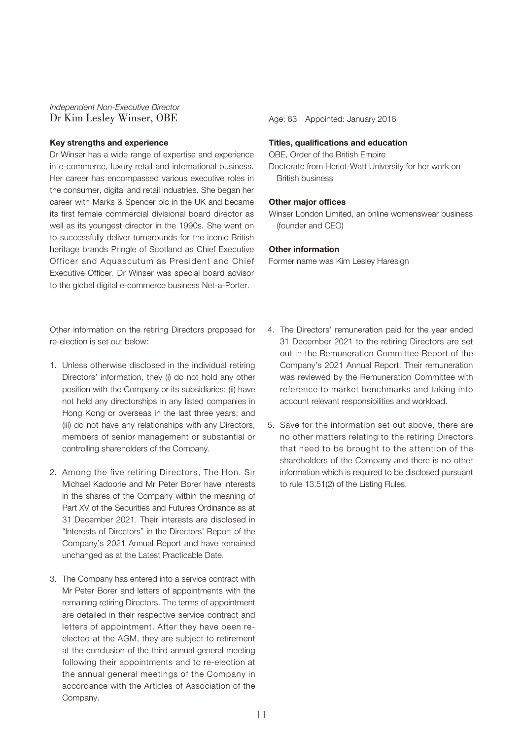Independent Non-Executive Director Dr Kim Lesley Winser, OBE Age: 63 Appointed: January 2016

#### **Key strengths and experience**

Dr Winser has a wide range of expertise and experience in e-commerce, luxury retail and international business. Her career has encompassed various executive roles in the consumer, digital and retail industries. She began her career with Marks & Spencer plc in the UK and became its first female commercial divisional board director as well as its youngest director in the 1990s. She went on to successfully deliver turnarounds for the iconic British heritage brands Pringle of Scotland as Chief Executive Officer and Aquascutum as President and Chief Executive Officer. Dr Winser was special board advisor to the global digital e-commerce business Net-a-Porter.

#### **Titles, qualifications and education**

OBE, Order of the British Empire

Doctorate from Heriot-Watt University for her work on British business

#### **Other major offices**

Winser London Limited, an online womenswear business (founder and CEO)

#### **Other information**

Former name was Kim Lesley Haresign

Other information on the retiring Directors proposed for re-election is set out below:

- 1. Unless otherwise disclosed in the individual retiring Directors' information, they (i) do not hold any other position with the Company or its subsidiaries; (ii) have not held any directorships in any listed companies in Hong Kong or overseas in the last three years; and (iii) do not have any relationships with any Directors, members of senior management or substantial or controlling shareholders of the Company.
- 2. Among the five retiring Directors, The Hon. Sir Michael Kadoorie and Mr Peter Borer have interests in the shares of the Company within the meaning of Part XV of the Securities and Futures Ordinance as at 31 December 2021. Their interests are disclosed in "Interests of Directors" in the Directors' Report of the Company's 2021 Annual Report and have remained unchanged as at the Latest Practicable Date.
- 3. The Company has entered into a service contract with Mr Peter Borer and letters of appointments with the remaining retiring Directors. The terms of appointment are detailed in their respective service contract and letters of appointment. After they have been reelected at the AGM, they are subject to retirement at the conclusion of the third annual general meeting following their appointments and to re-election at the annual general meetings of the Company in accordance with the Articles of Association of the Company.
- 4. The Directors' remuneration paid for the year ended 31 December 2021 to the retiring Directors are set out in the Remuneration Committee Report of the Company's 2021 Annual Report. Their remuneration was reviewed by the Remuneration Committee with reference to market benchmarks and taking into account relevant responsibilities and workload.
- 5. Save for the information set out above, there are no other matters relating to the retiring Directors that need to be brought to the attention of the shareholders of the Company and there is no other information which is required to be disclosed pursuant to rule 13.51(2) of the Listing Rules.